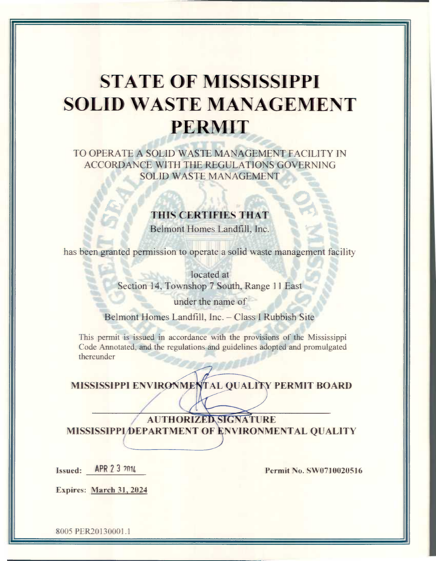# **STATE OF MISSISSIPPI SOLID WASTE MANAGEMENT** PERMIT

TO OPERATE A SOLID WASTE MANAGEMENT FACILITY IN **ACCORDANCE WITH THE REGULATIONS GOVERNING SOLID WASTE MANAGEMENT** 

# THIS CERTIFIES THAT

Belmont Homes Landfill, Inc.

has been granted permission to operate a solid waste management facility

located at Section 14, Townshop 7 South, Range 11 East

under the name of

Belmont Homes Landfill, Inc. - Class I Rubbish Site

This permit is issued in accordance with the provisions of the Mississippi Code Annotated, and the regulations and guidelines adopted and promulgated thereunder

MISSISSIPPI ENVIRONMENTAL QUALITY PERMIT BOARD

**AUTHORIZED SIGNATURE** MISSISSIPPI DEPARTMENT OF ENVIRONMENTAL QUALITY

APR 2 3 2014 **Issued:** 

Permit No. SW0710020516

Expires: March 31, 2024

8005 PER20130001.1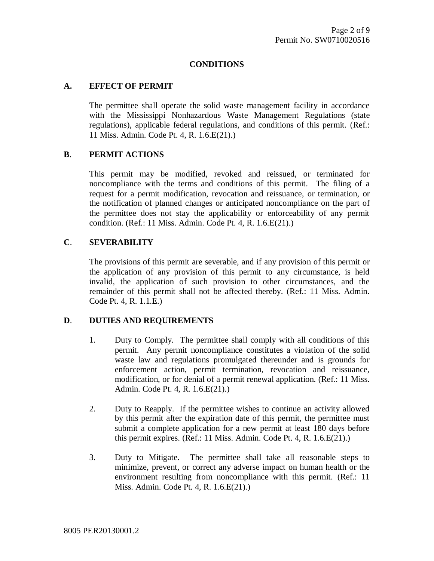#### **CONDITIONS**

#### **A. EFFECT OF PERMIT**

The permittee shall operate the solid waste management facility in accordance with the Mississippi Nonhazardous Waste Management Regulations (state regulations), applicable federal regulations, and conditions of this permit. (Ref.: 11 Miss. Admin. Code Pt. 4, R. 1.6.E(21).)

#### **B**. **PERMIT ACTIONS**

This permit may be modified, revoked and reissued, or terminated for noncompliance with the terms and conditions of this permit. The filing of a request for a permit modification, revocation and reissuance, or termination, or the notification of planned changes or anticipated noncompliance on the part of the permittee does not stay the applicability or enforceability of any permit condition. (Ref.: 11 Miss. Admin. Code Pt. 4, R. 1.6.E(21).)

### **C**. **SEVERABILITY**

The provisions of this permit are severable, and if any provision of this permit or the application of any provision of this permit to any circumstance, is held invalid, the application of such provision to other circumstances, and the remainder of this permit shall not be affected thereby. (Ref.: 11 Miss. Admin. Code Pt. 4, R. 1.1.E.)

## **D**. **DUTIES AND REQUIREMENTS**

- 1. Duty to Comply. The permittee shall comply with all conditions of this permit. Any permit noncompliance constitutes a violation of the solid waste law and regulations promulgated thereunder and is grounds for enforcement action, permit termination, revocation and reissuance, modification, or for denial of a permit renewal application. (Ref.: 11 Miss. Admin. Code Pt. 4, R. 1.6.E(21).)
- 2. Duty to Reapply. If the permittee wishes to continue an activity allowed by this permit after the expiration date of this permit, the permittee must submit a complete application for a new permit at least 180 days before this permit expires. (Ref.: 11 Miss. Admin. Code Pt. 4, R. 1.6.E(21).)
- 3. Duty to Mitigate. The permittee shall take all reasonable steps to minimize, prevent, or correct any adverse impact on human health or the environment resulting from noncompliance with this permit. (Ref.: 11 Miss. Admin. Code Pt. 4, R. 1.6.E(21).)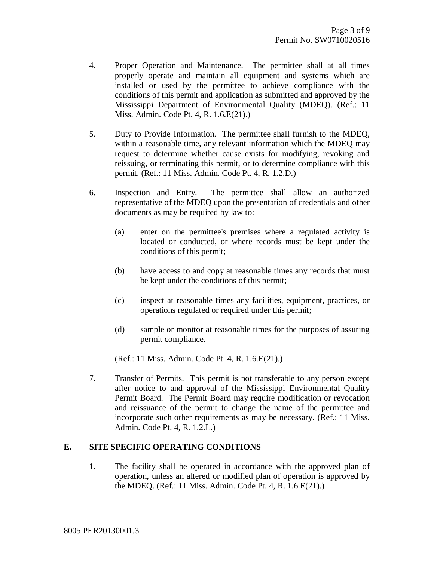- 4. Proper Operation and Maintenance. The permittee shall at all times properly operate and maintain all equipment and systems which are installed or used by the permittee to achieve compliance with the conditions of this permit and application as submitted and approved by the Mississippi Department of Environmental Quality (MDEQ). (Ref.: 11 Miss. Admin. Code Pt. 4, R. 1.6.E(21).)
- 5. Duty to Provide Information. The permittee shall furnish to the MDEQ, within a reasonable time, any relevant information which the MDEQ may request to determine whether cause exists for modifying, revoking and reissuing, or terminating this permit, or to determine compliance with this permit. (Ref.: 11 Miss. Admin. Code Pt. 4, R. 1.2.D.)
- 6. Inspection and Entry. The permittee shall allow an authorized representative of the MDEQ upon the presentation of credentials and other documents as may be required by law to:
	- (a) enter on the permittee's premises where a regulated activity is located or conducted, or where records must be kept under the conditions of this permit;
	- (b) have access to and copy at reasonable times any records that must be kept under the conditions of this permit;
	- (c) inspect at reasonable times any facilities, equipment, practices, or operations regulated or required under this permit;
	- (d) sample or monitor at reasonable times for the purposes of assuring permit compliance.

(Ref.: 11 Miss. Admin. Code Pt. 4, R. 1.6.E(21).)

7. Transfer of Permits. This permit is not transferable to any person except after notice to and approval of the Mississippi Environmental Quality Permit Board. The Permit Board may require modification or revocation and reissuance of the permit to change the name of the permittee and incorporate such other requirements as may be necessary. (Ref.: 11 Miss. Admin. Code Pt. 4, R. 1.2.L.)

#### **E. SITE SPECIFIC OPERATING CONDITIONS**

1. The facility shall be operated in accordance with the approved plan of operation, unless an altered or modified plan of operation is approved by the MDEQ. (Ref.: 11 Miss. Admin. Code Pt. 4, R. 1.6.E(21).)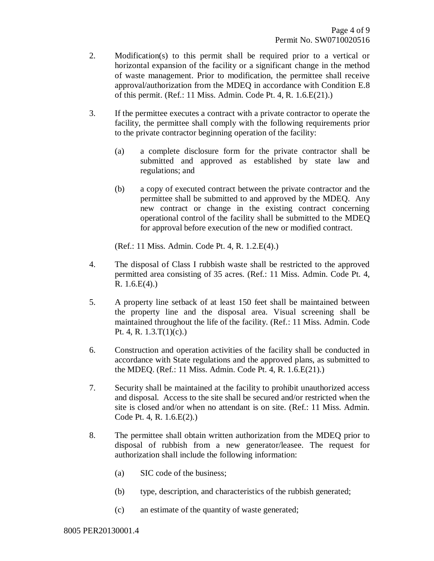- 2. Modification(s) to this permit shall be required prior to a vertical or horizontal expansion of the facility or a significant change in the method of waste management. Prior to modification, the permittee shall receive approval/authorization from the MDEQ in accordance with Condition E.8 of this permit. (Ref.: 11 Miss. Admin. Code Pt. 4, R. 1.6.E(21).)
- 3. If the permittee executes a contract with a private contractor to operate the facility, the permittee shall comply with the following requirements prior to the private contractor beginning operation of the facility:
	- (a) a complete disclosure form for the private contractor shall be submitted and approved as established by state law and regulations; and
	- (b) a copy of executed contract between the private contractor and the permittee shall be submitted to and approved by the MDEQ. Any new contract or change in the existing contract concerning operational control of the facility shall be submitted to the MDEQ for approval before execution of the new or modified contract.

(Ref.: 11 Miss. Admin. Code Pt. 4, R. 1.2.E(4).)

- 4. The disposal of Class I rubbish waste shall be restricted to the approved permitted area consisting of 35 acres. (Ref.: 11 Miss. Admin. Code Pt. 4, R. 1.6.E(4).)
- 5. A property line setback of at least 150 feet shall be maintained between the property line and the disposal area. Visual screening shall be maintained throughout the life of the facility. (Ref.: 11 Miss. Admin. Code Pt. 4, R. 1.3.T(1)(c).)
- 6. Construction and operation activities of the facility shall be conducted in accordance with State regulations and the approved plans, as submitted to the MDEQ. (Ref.: 11 Miss. Admin. Code Pt. 4, R. 1.6.E(21).)
- 7. Security shall be maintained at the facility to prohibit unauthorized access and disposal. Access to the site shall be secured and/or restricted when the site is closed and/or when no attendant is on site. (Ref.: 11 Miss. Admin. Code Pt. 4, R. 1.6.E(2).)
- 8. The permittee shall obtain written authorization from the MDEQ prior to disposal of rubbish from a new generator/leasee. The request for authorization shall include the following information:
	- (a) SIC code of the business;
	- (b) type, description, and characteristics of the rubbish generated;
	- (c) an estimate of the quantity of waste generated;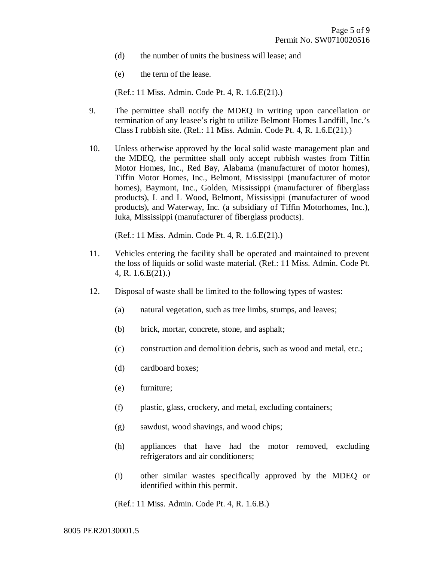- (d) the number of units the business will lease; and
- (e) the term of the lease.

(Ref.: 11 Miss. Admin. Code Pt. 4, R. 1.6.E(21).)

- 9. The permittee shall notify the MDEQ in writing upon cancellation or termination of any leasee's right to utilize Belmont Homes Landfill, Inc.'s Class I rubbish site. (Ref.: 11 Miss. Admin. Code Pt. 4, R. 1.6.E(21).)
- 10. Unless otherwise approved by the local solid waste management plan and the MDEQ, the permittee shall only accept rubbish wastes from Tiffin Motor Homes, Inc., Red Bay, Alabama (manufacturer of motor homes), Tiffin Motor Homes, Inc., Belmont, Mississippi (manufacturer of motor homes), Baymont, Inc., Golden, Mississippi (manufacturer of fiberglass products), L and L Wood, Belmont, Mississippi (manufacturer of wood products), and Waterway, Inc. (a subsidiary of Tiffin Motorhomes, Inc.), Iuka, Mississippi (manufacturer of fiberglass products).

(Ref.: 11 Miss. Admin. Code Pt. 4, R. 1.6.E(21).)

- 11. Vehicles entering the facility shall be operated and maintained to prevent the loss of liquids or solid waste material. (Ref.: 11 Miss. Admin. Code Pt. 4, R. 1.6.E(21).)
- 12. Disposal of waste shall be limited to the following types of wastes:
	- (a) natural vegetation, such as tree limbs, stumps, and leaves;
	- (b) brick, mortar, concrete, stone, and asphalt;
	- (c) construction and demolition debris, such as wood and metal, etc.;
	- (d) cardboard boxes;
	- (e) furniture;
	- (f) plastic, glass, crockery, and metal, excluding containers;
	- (g) sawdust, wood shavings, and wood chips;
	- (h) appliances that have had the motor removed, excluding refrigerators and air conditioners;
	- (i) other similar wastes specifically approved by the MDEQ or identified within this permit.

(Ref.: 11 Miss. Admin. Code Pt. 4, R. 1.6.B.)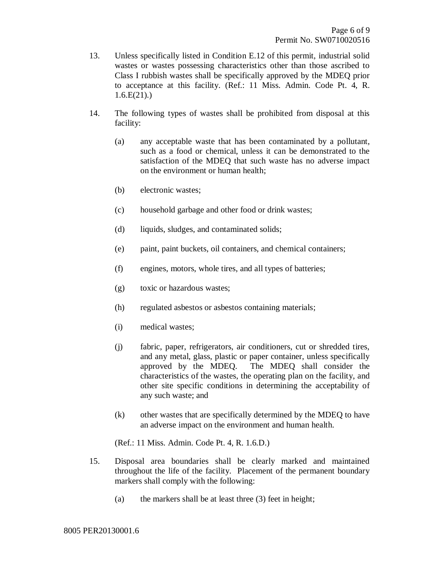- 13. Unless specifically listed in Condition E.12 of this permit, industrial solid wastes or wastes possessing characteristics other than those ascribed to Class I rubbish wastes shall be specifically approved by the MDEQ prior to acceptance at this facility. (Ref.: 11 Miss. Admin. Code Pt. 4, R.  $1.6.E(21).$
- 14. The following types of wastes shall be prohibited from disposal at this facility:
	- (a) any acceptable waste that has been contaminated by a pollutant, such as a food or chemical, unless it can be demonstrated to the satisfaction of the MDEQ that such waste has no adverse impact on the environment or human health;
	- (b) electronic wastes;
	- (c) household garbage and other food or drink wastes;
	- (d) liquids, sludges, and contaminated solids;
	- (e) paint, paint buckets, oil containers, and chemical containers;
	- (f) engines, motors, whole tires, and all types of batteries;
	- (g) toxic or hazardous wastes;
	- (h) regulated asbestos or asbestos containing materials;
	- (i) medical wastes;
	- (j) fabric, paper, refrigerators, air conditioners, cut or shredded tires, and any metal, glass, plastic or paper container, unless specifically approved by the MDEQ. The MDEQ shall consider the characteristics of the wastes, the operating plan on the facility, and other site specific conditions in determining the acceptability of any such waste; and
	- (k) other wastes that are specifically determined by the MDEQ to have an adverse impact on the environment and human health.

(Ref.: 11 Miss. Admin. Code Pt. 4, R. 1.6.D.)

- 15. Disposal area boundaries shall be clearly marked and maintained throughout the life of the facility. Placement of the permanent boundary markers shall comply with the following:
	- (a) the markers shall be at least three (3) feet in height;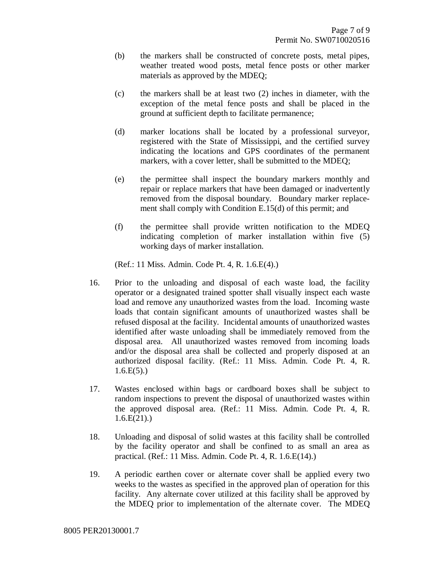- (b) the markers shall be constructed of concrete posts, metal pipes, weather treated wood posts, metal fence posts or other marker materials as approved by the MDEQ;
- (c) the markers shall be at least two (2) inches in diameter, with the exception of the metal fence posts and shall be placed in the ground at sufficient depth to facilitate permanence;
- (d) marker locations shall be located by a professional surveyor, registered with the State of Mississippi, and the certified survey indicating the locations and GPS coordinates of the permanent markers, with a cover letter, shall be submitted to the MDEQ;
- (e) the permittee shall inspect the boundary markers monthly and repair or replace markers that have been damaged or inadvertently removed from the disposal boundary. Boundary marker replacement shall comply with Condition E.15(d) of this permit; and
- (f) the permittee shall provide written notification to the MDEQ indicating completion of marker installation within five (5) working days of marker installation.

(Ref.: 11 Miss. Admin. Code Pt. 4, R. 1.6.E(4).)

- 16. Prior to the unloading and disposal of each waste load, the facility operator or a designated trained spotter shall visually inspect each waste load and remove any unauthorized wastes from the load. Incoming waste loads that contain significant amounts of unauthorized wastes shall be refused disposal at the facility. Incidental amounts of unauthorized wastes identified after waste unloading shall be immediately removed from the disposal area. All unauthorized wastes removed from incoming loads and/or the disposal area shall be collected and properly disposed at an authorized disposal facility. (Ref.: 11 Miss. Admin. Code Pt. 4, R.  $1.6.E(5)$ .
- 17. Wastes enclosed within bags or cardboard boxes shall be subject to random inspections to prevent the disposal of unauthorized wastes within the approved disposal area. (Ref.: 11 Miss. Admin. Code Pt. 4, R.  $1.6.E(21)$ .
- 18. Unloading and disposal of solid wastes at this facility shall be controlled by the facility operator and shall be confined to as small an area as practical. (Ref.: 11 Miss. Admin. Code Pt. 4, R. 1.6.E(14).)
- 19. A periodic earthen cover or alternate cover shall be applied every two weeks to the wastes as specified in the approved plan of operation for this facility. Any alternate cover utilized at this facility shall be approved by the MDEQ prior to implementation of the alternate cover. The MDEQ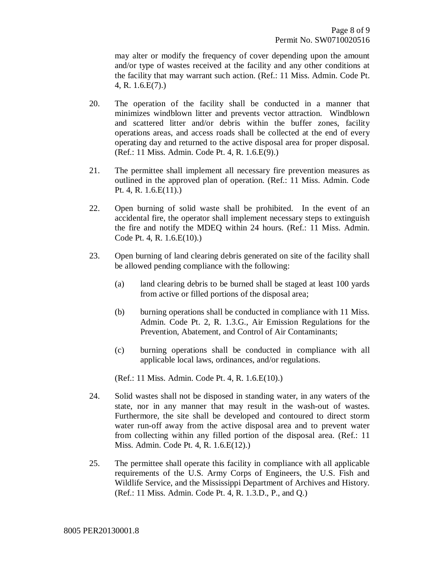may alter or modify the frequency of cover depending upon the amount and/or type of wastes received at the facility and any other conditions at the facility that may warrant such action. (Ref.: 11 Miss. Admin. Code Pt. 4, R. 1.6.E(7).)

- 20. The operation of the facility shall be conducted in a manner that minimizes windblown litter and prevents vector attraction. Windblown and scattered litter and/or debris within the buffer zones, facility operations areas, and access roads shall be collected at the end of every operating day and returned to the active disposal area for proper disposal. (Ref.: 11 Miss. Admin. Code Pt. 4, R. 1.6.E(9).)
- 21. The permittee shall implement all necessary fire prevention measures as outlined in the approved plan of operation. (Ref.: 11 Miss. Admin. Code Pt. 4, R. 1.6.E(11).)
- 22. Open burning of solid waste shall be prohibited. In the event of an accidental fire, the operator shall implement necessary steps to extinguish the fire and notify the MDEQ within 24 hours. (Ref.: 11 Miss. Admin. Code Pt. 4, R. 1.6.E(10).)
- 23. Open burning of land clearing debris generated on site of the facility shall be allowed pending compliance with the following:
	- (a) land clearing debris to be burned shall be staged at least 100 yards from active or filled portions of the disposal area;
	- (b) burning operations shall be conducted in compliance with 11 Miss. Admin. Code Pt. 2, R. 1.3.G., Air Emission Regulations for the Prevention, Abatement, and Control of Air Contaminants;
	- (c) burning operations shall be conducted in compliance with all applicable local laws, ordinances, and/or regulations.

(Ref.: 11 Miss. Admin. Code Pt. 4, R. 1.6.E(10).)

- 24. Solid wastes shall not be disposed in standing water, in any waters of the state, nor in any manner that may result in the wash-out of wastes. Furthermore, the site shall be developed and contoured to direct storm water run-off away from the active disposal area and to prevent water from collecting within any filled portion of the disposal area. (Ref.: 11 Miss. Admin. Code Pt. 4, R. 1.6.E(12).)
- 25. The permittee shall operate this facility in compliance with all applicable requirements of the U.S. Army Corps of Engineers, the U.S. Fish and Wildlife Service, and the Mississippi Department of Archives and History. (Ref.: 11 Miss. Admin. Code Pt. 4, R. 1.3.D., P., and Q.)